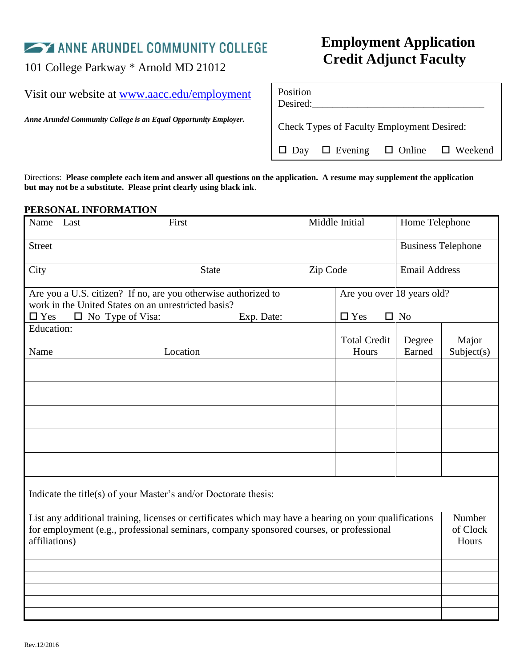Visit our website at [www.aacc.edu/employment](http://www.aacc.edu/employment)

*Anne Arundel Community College is an Equal Opportunity Employer.*

# **Employment Application CORED EXECUTE:**<br>101 College Parkway \* Arnold MD 21012<br>101 College Parkway \* Arnold MD 21012

| Position<br>Desired:                                   |  |  |  |  |  |
|--------------------------------------------------------|--|--|--|--|--|
| <b>Check Types of Faculty Employment Desired:</b>      |  |  |  |  |  |
| $\Box$ Day $\Box$ Evening $\Box$ Online $\Box$ Weekend |  |  |  |  |  |

Directions: **Please complete each item and answer all questions on the application. A resume may supplement the application but may not be a substitute. Please print clearly using black ink**.

# **PERSONAL INFORMATION**

| Name                                                                                                                                                                                                               | Last                    | First                                                                                                                 | Middle Initial |                               | Home Telephone            |            |
|--------------------------------------------------------------------------------------------------------------------------------------------------------------------------------------------------------------------|-------------------------|-----------------------------------------------------------------------------------------------------------------------|----------------|-------------------------------|---------------------------|------------|
| <b>Street</b>                                                                                                                                                                                                      |                         |                                                                                                                       |                |                               | <b>Business Telephone</b> |            |
| City                                                                                                                                                                                                               |                         | <b>State</b>                                                                                                          | Zip Code       |                               | <b>Email Address</b>      |            |
|                                                                                                                                                                                                                    |                         | Are you a U.S. citizen? If no, are you otherwise authorized to<br>work in the United States on an unrestricted basis? |                | Are you over 18 years old?    |                           |            |
| $\square$ Yes                                                                                                                                                                                                      | $\Box$ No Type of Visa: | Exp. Date:                                                                                                            |                | $\square$ Yes<br>$\square$ No |                           |            |
| Education:                                                                                                                                                                                                         |                         |                                                                                                                       |                | <b>Total Credit</b>           | Degree                    | Major      |
| Name                                                                                                                                                                                                               |                         | Location                                                                                                              |                | Hours                         | Earned                    | Subject(s) |
|                                                                                                                                                                                                                    |                         |                                                                                                                       |                |                               |                           |            |
|                                                                                                                                                                                                                    |                         |                                                                                                                       |                |                               |                           |            |
|                                                                                                                                                                                                                    |                         |                                                                                                                       |                |                               |                           |            |
|                                                                                                                                                                                                                    |                         |                                                                                                                       |                |                               |                           |            |
|                                                                                                                                                                                                                    |                         |                                                                                                                       |                |                               |                           |            |
| Indicate the title(s) of your Master's and/or Doctorate thesis:                                                                                                                                                    |                         |                                                                                                                       |                |                               |                           |            |
|                                                                                                                                                                                                                    |                         |                                                                                                                       |                |                               |                           |            |
| List any additional training, licenses or certificates which may have a bearing on your qualifications<br>for employment (e.g., professional seminars, company sponsored courses, or professional<br>affiliations) |                         |                                                                                                                       |                | Number<br>of Clock<br>Hours   |                           |            |
|                                                                                                                                                                                                                    |                         |                                                                                                                       |                |                               |                           |            |
|                                                                                                                                                                                                                    |                         |                                                                                                                       |                |                               |                           |            |
|                                                                                                                                                                                                                    |                         |                                                                                                                       |                |                               |                           |            |
|                                                                                                                                                                                                                    |                         |                                                                                                                       |                |                               |                           |            |
|                                                                                                                                                                                                                    |                         |                                                                                                                       |                |                               |                           |            |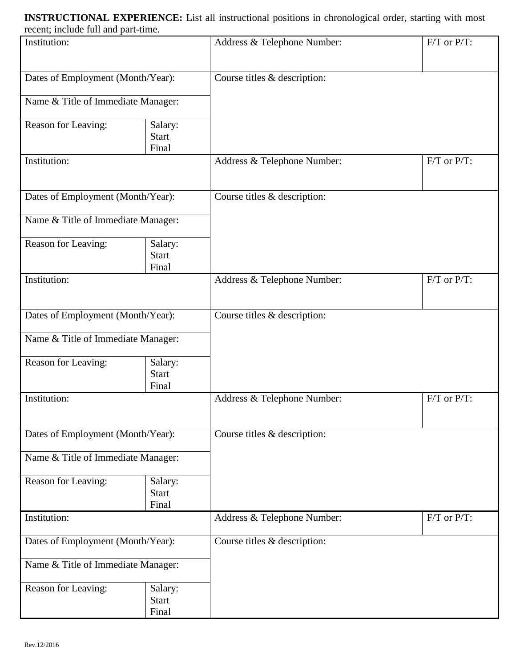**INSTRUCTIONAL EXPERIENCE:** List all instructional positions in chronological order, starting with most recent; include full and part-time.

| Institution:                       |                                  | Address & Telephone Number:  | $F/T$ or $P/T$ : |
|------------------------------------|----------------------------------|------------------------------|------------------|
| Dates of Employment (Month/Year):  |                                  | Course titles & description: |                  |
| Name & Title of Immediate Manager: |                                  |                              |                  |
| Reason for Leaving:                | Salary:<br><b>Start</b><br>Final |                              |                  |
| Institution:                       |                                  | Address & Telephone Number:  | $F/T$ or $P/T$ : |
| Dates of Employment (Month/Year):  |                                  | Course titles & description: |                  |
| Name & Title of Immediate Manager: |                                  |                              |                  |
| Reason for Leaving:                | Salary:<br><b>Start</b><br>Final |                              |                  |
| Institution:                       |                                  | Address & Telephone Number:  | $F/T$ or $P/T$ : |
| Dates of Employment (Month/Year):  |                                  | Course titles & description: |                  |
| Name & Title of Immediate Manager: |                                  |                              |                  |
| Reason for Leaving:                | Salary:<br><b>Start</b><br>Final |                              |                  |
| Institution:                       |                                  | Address & Telephone Number:  | $F/T$ or $P/T$ : |
| Dates of Employment (Month/Year):  |                                  | Course titles & description: |                  |
| Name & Title of Immediate Manager: |                                  |                              |                  |
| Reason for Leaving:                | Salary:<br><b>Start</b><br>Final |                              |                  |
| Institution:                       |                                  | Address & Telephone Number:  | $F/T$ or $P/T$ : |
| Dates of Employment (Month/Year):  |                                  | Course titles & description: |                  |
| Name & Title of Immediate Manager: |                                  |                              |                  |
| Reason for Leaving:                | Salary:<br><b>Start</b><br>Final |                              |                  |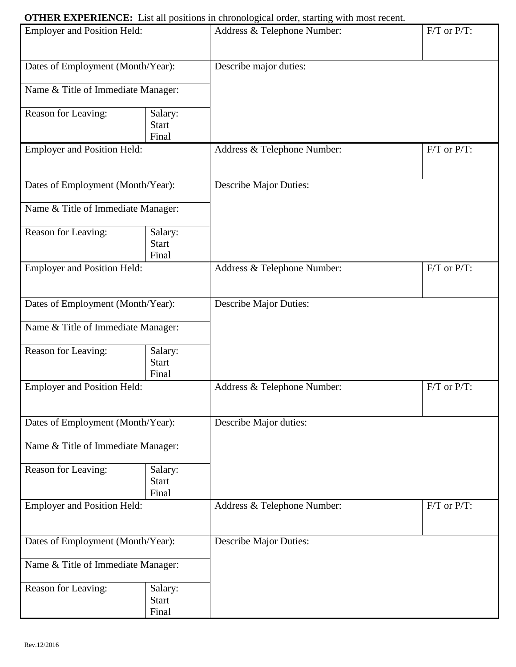# **OTHER EXPERIENCE:** List all positions in chronological order, starting with most recent.

| $\cdot$ mot an positions in emonopolitar order, starting<br><b>Employer and Position Held:</b> |                                  | $F/T$ or $P/T$ :<br>Address & Telephone Number: |                  |
|------------------------------------------------------------------------------------------------|----------------------------------|-------------------------------------------------|------------------|
| Dates of Employment (Month/Year):                                                              |                                  | Describe major duties:                          |                  |
| Name & Title of Immediate Manager:                                                             |                                  |                                                 |                  |
| Reason for Leaving:                                                                            | Salary:<br><b>Start</b><br>Final |                                                 |                  |
| <b>Employer and Position Held:</b>                                                             |                                  | Address & Telephone Number:                     | $F/T$ or $P/T$ : |
| Dates of Employment (Month/Year):                                                              |                                  | <b>Describe Major Duties:</b>                   |                  |
| Name & Title of Immediate Manager:                                                             |                                  |                                                 |                  |
| Reason for Leaving:                                                                            | Salary:<br><b>Start</b><br>Final |                                                 |                  |
| <b>Employer and Position Held:</b>                                                             |                                  | Address & Telephone Number:                     | $F/T$ or $P/T$ : |
| Dates of Employment (Month/Year):                                                              |                                  | <b>Describe Major Duties:</b>                   |                  |
| Name & Title of Immediate Manager:                                                             |                                  |                                                 |                  |
| Reason for Leaving:                                                                            | Salary:<br><b>Start</b><br>Final |                                                 |                  |
| <b>Employer and Position Held:</b>                                                             |                                  | Address & Telephone Number:                     | $F/T$ or $P/T$ : |
| Dates of Employment (Month/Year):                                                              |                                  | Describe Major duties:                          |                  |
| Name & Title of Immediate Manager:                                                             |                                  |                                                 |                  |
| Reason for Leaving:                                                                            | Salary:<br><b>Start</b><br>Final |                                                 |                  |
| <b>Employer and Position Held:</b>                                                             |                                  | Address & Telephone Number:                     | $F/T$ or $P/T$ : |
| Dates of Employment (Month/Year):                                                              |                                  | <b>Describe Major Duties:</b>                   |                  |
| Name & Title of Immediate Manager:                                                             |                                  |                                                 |                  |
| Reason for Leaving:                                                                            | Salary:<br><b>Start</b><br>Final |                                                 |                  |